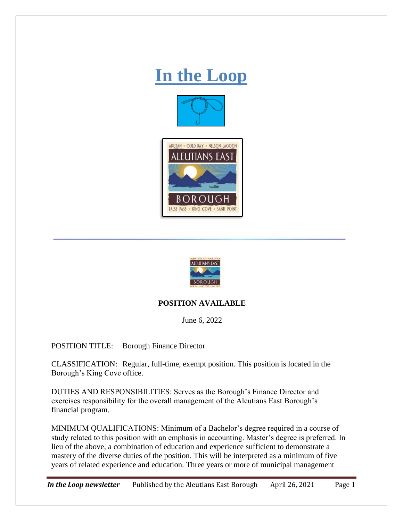## **In the Loop**







## **POSITION AVAILABLE**

June 6, 2022

POSITION TITLE: Borough Finance Director

CLASSIFICATION: Regular, full-time, exempt position. This position is located in the Borough's King Cove office.

DUTIES AND RESPONSIBILITIES: Serves as the Borough's Finance Director and exercises responsibility for the overall management of the Aleutians East Borough's financial program.

MINIMUM QUALIFICATIONS: Minimum of a Bachelor's degree required in a course of study related to this position with an emphasis in accounting. Master's degree is preferred. In lieu of the above, a combination of education and experience sufficient to demonstrate a mastery of the diverse duties of the position. This will be interpreted as a minimum of five years of related experience and education. Three years or more of municipal management

*In the Loop newsletter* Published by the Aleutians East Borough April 26, 2021 Page 1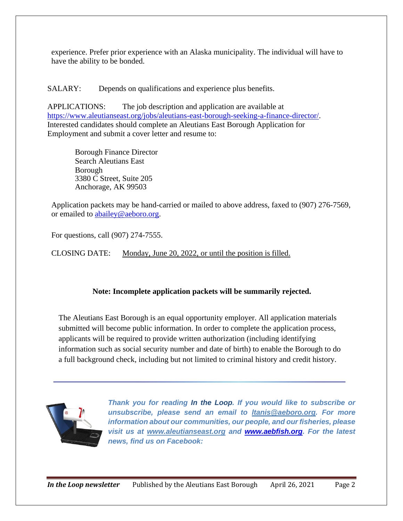experience. Prefer prior experience with an Alaska municipality. The individual will have to have the ability to be bonded.

SALARY: Depends on qualifications and experience plus benefits.

APPLICATIONS: The job description and application are available at [https://www.aleutianseast.org/jobs/aleutians-east-borough-seeking-a-finance-director/.](https://www.aleutianseast.org/jobs/aleutians-east-borough-seeking-a-finance-director/) Interested candidates should complete an Aleutians East Borough Application for Employment and submit a cover letter and resume to:

> Borough Finance Director Search Aleutians East Borough 3380 C Street, Suite 205 Anchorage, AK 99503

Application packets may be hand-carried or mailed to above address, faxed to (907) 276-7569, or emailed to [abailey@aeboro.org.](mailto:abailey@aeboro.org)

For questions, call (907) 274-7555.

CLOSING DATE: Monday, June 20, 2022, or until the position is filled.

## **Note: Incomplete application packets will be summarily rejected.**

The Aleutians East Borough is an equal opportunity employer. All application materials submitted will become public information. In order to complete the application process, applicants will be required to provide written authorization (including identifying information such as social security number and date of birth) to enable the Borough to do a full background check, including but not limited to criminal history and credit history.



*Thank you for reading In the Loop. If you would like to subscribe or unsubscribe, please send an email to [ltanis@aeboro.org.](mailto:ltanis@aeboro.org) For more information about our communities, our people, and our fisheries, please visit us at [www.aleutianseast.org](http://www.aleutianseast.org/) and [www.aebfish.org.](http://www.aebfish.org/) For the latest news, find us on Facebook:*